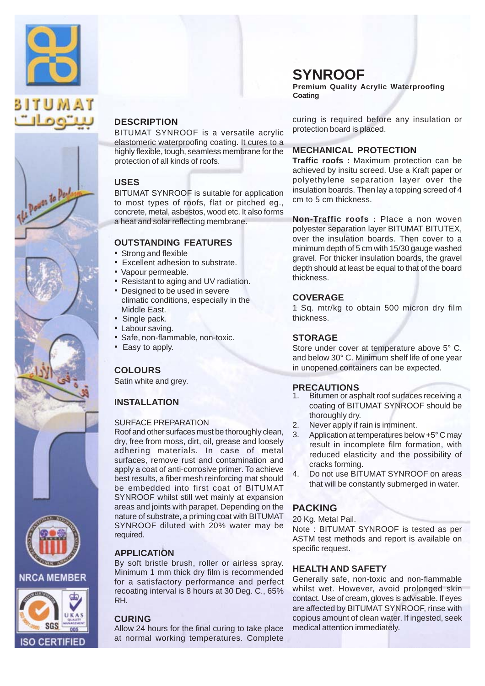

The Power to Pay



BITUMAT SYNROOF is a versatile acrylic elastomeric waterproofing coating. It cures to a highly flexible, tough, seamless membrane for the protection of all kinds of roofs.

#### **USES**

BITUMAT SYNROOF is suitable for application to most types of roofs, flat or pitched eg., concrete, metal, asbestos, wood etc. It also forms a heat and solar reflecting membrane.

#### **OUTSTANDING FEATURES**

- Strong and flexible
- Excellent adhesion to substrate.
- Vapour permeable.
- Resistant to aging and UV radiation.
- Designed to be used in severe climatic conditions, especially in the Middle East.
- Single pack.
- Labour saving.
- Safe, non-flammable, non-toxic.
- Easy to apply.

### **COLOURS**

Satin white and grey.

### **INSTALLATION**

#### SURFACE PREPARATION

Roof and other surfaces must be thoroughly clean, dry, free from moss, dirt, oil, grease and loosely adhering materials. In case of metal surfaces, remove rust and contamination and apply a coat of anti-corrosive primer. To achieve best results, a fiber mesh reinforcing mat should be embedded into first coat of BITUMAT SYNROOF whilst still wet mainly at expansion areas and joints with parapet. Depending on the nature of substrate, a priming coat with BITUMAT SYNROOF diluted with 20% water may be required.

#### **APPLICATION**

By soft bristle brush, roller or airless spray. Minimum 1 mm thick dry film is recommended for a satisfactory performance and perfect recoating interval is 8 hours at 30 Deg. C., 65% RH.

#### **CURING**

Allow 24 hours for the final curing to take place at normal working temperatures. Complete

## **SYNROOF**

**Premium Quality Acrylic Waterproofing Coating**

curing is required before any insulation or protection board is placed.

#### **MECHANICAL PROTECTION**

**Traffic roofs :** Maximum protection can be achieved by insitu screed. Use a Kraft paper or polyethylene separation layer over the insulation boards. Then lay a topping screed of 4 cm to 5 cm thickness.

**Non-Traffic roofs :** Place a non woven polyester separation layer BITUMAT BITUTEX, over the insulation boards. Then cover to a minimum depth of 5 cm with 15/30 gauge washed gravel. For thicker insulation boards, the gravel depth should at least be equal to that of the board thickness.

#### **COVERAGE**

1 Sq. mtr/kg to obtain 500 micron dry film thickness.

#### **STORAGE**

Store under cover at temperature above 5° C. and below 30° C. Minimum shelf life of one year in unopened containers can be expected.

#### **PRECAUTIONS**

- Bitumen or asphalt roof surfaces receiving a coating of BITUMAT SYNROOF should be thoroughly dry. 1.
- Never apply if rain is imminent. 2.
- Application at temperatures below +5° C may result in incomplete film formation, with reduced elasticity and the possibility of cracks forming. 3.
- Do not use BITUMAT SYNROOF on areas that will be constantly submerged in water. 4.

### **PACKING**

#### 20 Kg. Metal Pail.

Note : BITUMAT SYNROOF is tested as per ASTM test methods and report is available on specific request.

### **HEALTH AND SAFETY**

Generally safe, non-toxic and non-flammable whilst wet. However, avoid prolonged skin contact. Use of cream, gloves is advisable. If eyes are affected by BITUMAT SYNROOF, rinse with copious amount of clean water. If ingested, seek medical attention immediately.



ISO CERTIFIED